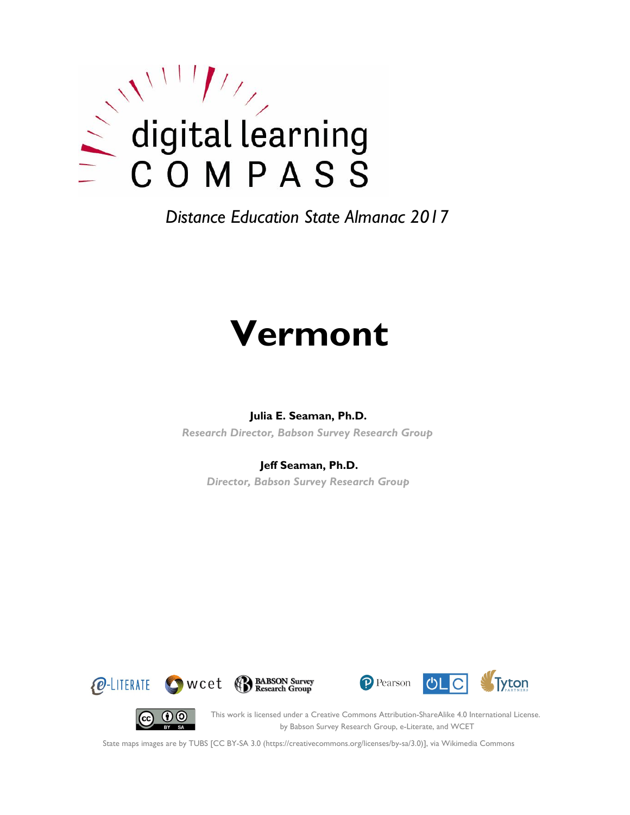

# **Vermont**

#### **Julia E. Seaman, Ph.D.**

*Research Director, Babson Survey Research Group*

#### **Jeff Seaman, Ph.D.**

*Director, Babson Survey Research Group*







(cc)

This work is licensed under a Creative Commons Attribution-ShareAlike 4.0 International License. by Babson Survey Research Group, e-Literate, and WCET

State maps images are by TUBS [CC BY-SA 3.0 (https://creativecommons.org/licenses/by-sa/3.0)], via Wikimedia Commons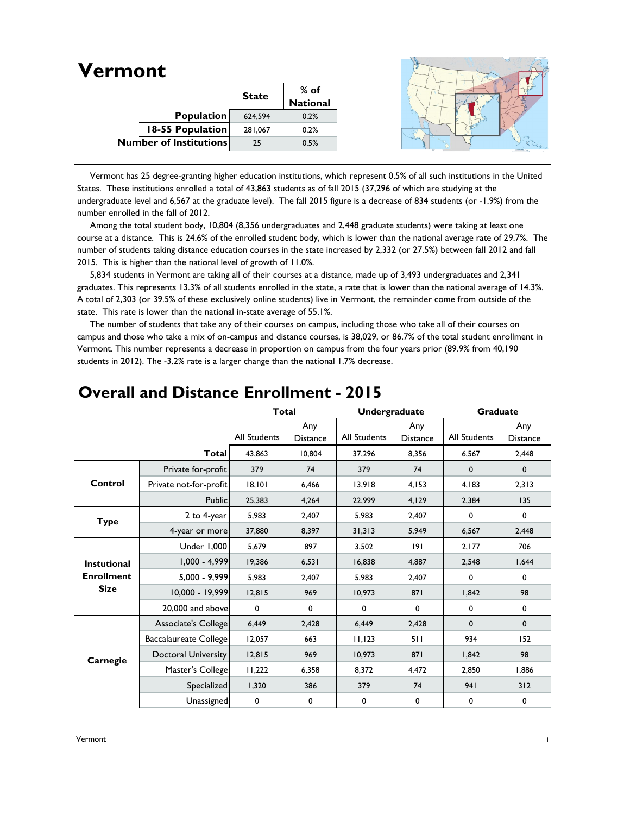| Vermont |                               |              |                  |
|---------|-------------------------------|--------------|------------------|
|         |                               | <b>State</b> | % of<br>National |
|         |                               |              |                  |
|         | Population                    | 624,594      | 0.2%             |
|         | 18-55 Population              | 281,067      | 0.2%             |
|         | <b>Number of Institutions</b> | 25           | 0.5%             |

 Vermont has 25 degree-granting higher education institutions, which represent 0.5% of all such institutions in the United States. These institutions enrolled a total of 43,863 students as of fall 2015 (37,296 of which are studying at the undergraduate level and 6,567 at the graduate level). The fall 2015 figure is a decrease of 834 students (or -1.9%) from the number enrolled in the fall of 2012.

 Among the total student body, 10,804 (8,356 undergraduates and 2,448 graduate students) were taking at least one course at a distance. This is 24.6% of the enrolled student body, which is lower than the national average rate of 29.7%. The number of students taking distance education courses in the state increased by 2,332 (or 27.5%) between fall 2012 and fall 2015. This is higher than the national level of growth of 11.0%.

 5,834 students in Vermont are taking all of their courses at a distance, made up of 3,493 undergraduates and 2,341 graduates. This represents 13.3% of all students enrolled in the state, a rate that is lower than the national average of 14.3%. A total of 2,303 (or 39.5% of these exclusively online students) live in Vermont, the remainder come from outside of the state. This rate is lower than the national in-state average of 55.1%.

 The number of students that take any of their courses on campus, including those who take all of their courses on campus and those who take a mix of on-campus and distance courses, is 38,029, or 86.7% of the total student enrollment in Vermont. This number represents a decrease in proportion on campus from the four years prior (89.9% from 40,190 students in 2012). The -3.2% rate is a larger change than the national 1.7% decrease.

|                    |                              | <b>Total</b>        |                        | Undergraduate |                        | Graduate     |                        |
|--------------------|------------------------------|---------------------|------------------------|---------------|------------------------|--------------|------------------------|
|                    |                              | <b>All Students</b> | Any<br><b>Distance</b> | All Students  | Any<br><b>Distance</b> | All Students | Any<br><b>Distance</b> |
|                    | Total                        | 43,863              | 10,804                 | 37,296        | 8,356                  | 6,567        | 2,448                  |
|                    | Private for-profit           | 379                 | 74                     | 379           | 74                     | $\mathbf 0$  | $\mathbf 0$            |
| Control            | Private not-for-profit       | 18,101              | 6,466                  | 13,918        | 4,153                  | 4,183        | 2,313                  |
|                    | <b>Public</b>                | 25,383              | 4,264                  | 22,999        | 4,129                  | 2,384        | 135                    |
| <b>Type</b>        | 2 to 4-year                  | 5,983               | 2,407                  | 5,983         | 2,407                  | 0            | 0                      |
|                    | 4-year or more               | 37,880              | 8,397                  | 31,313        | 5,949                  | 6,567        | 2,448                  |
|                    | Under 1,000                  | 5,679               | 897                    | 3,502         | 9                      | 2,177        | 706                    |
| <b>Instutional</b> | $1,000 - 4,999$              | 19,386              | 6,531                  | 16,838        | 4,887                  | 2,548        | 1,644                  |
| <b>Enrollment</b>  | 5,000 - 9,999                | 5.983               | 2,407                  | 5,983         | 2,407                  | 0            | $\mathbf 0$            |
| <b>Size</b>        | 10,000 - 19,999              | 12,815              | 969                    | 10.973        | 871                    | 1,842        | 98                     |
|                    | 20,000 and above             | $\mathbf 0$         | 0                      | 0             | $\mathbf 0$            | 0            | $\mathbf 0$            |
|                    | Associate's College          | 6,449               | 2,428                  | 6,449         | 2,428                  | $\mathbf 0$  | $\mathbf 0$            |
|                    | <b>Baccalaureate College</b> | 12,057              | 663                    | 11,123        | 511                    | 934          | 152                    |
| Carnegie           | Doctoral University          | 12,815              | 969                    | 10,973        | 871                    | 1,842        | 98                     |
|                    | Master's College             | 11,222              | 6,358                  | 8,372         | 4,472                  | 2,850        | 1,886                  |
|                    | Specialized                  | 1,320               | 386                    | 379           | 74                     | 941          | 312                    |
|                    | Unassigned                   | 0                   | 0                      | 0             | $\mathbf 0$            | 0            | 0                      |

### **Overall and Distance Enrollment - 2015**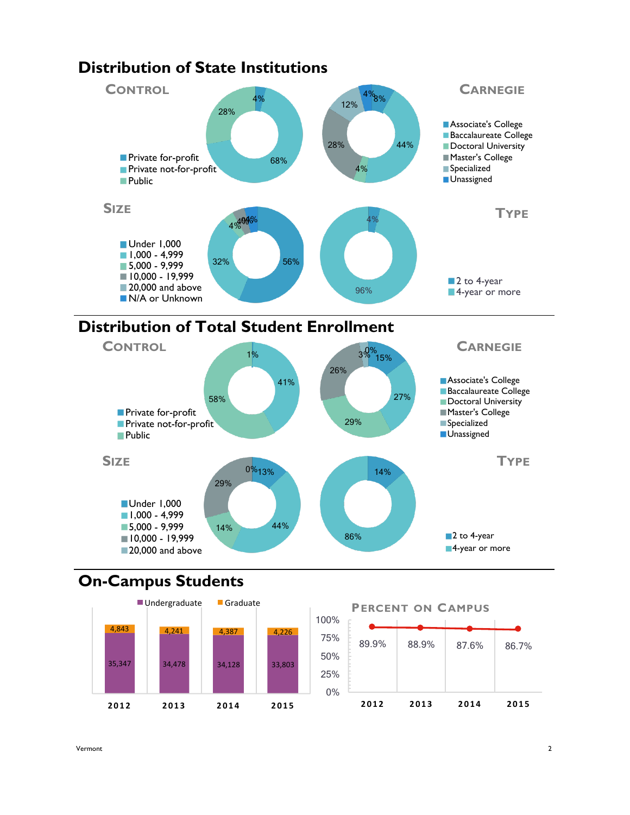



# **On-Campus Students**



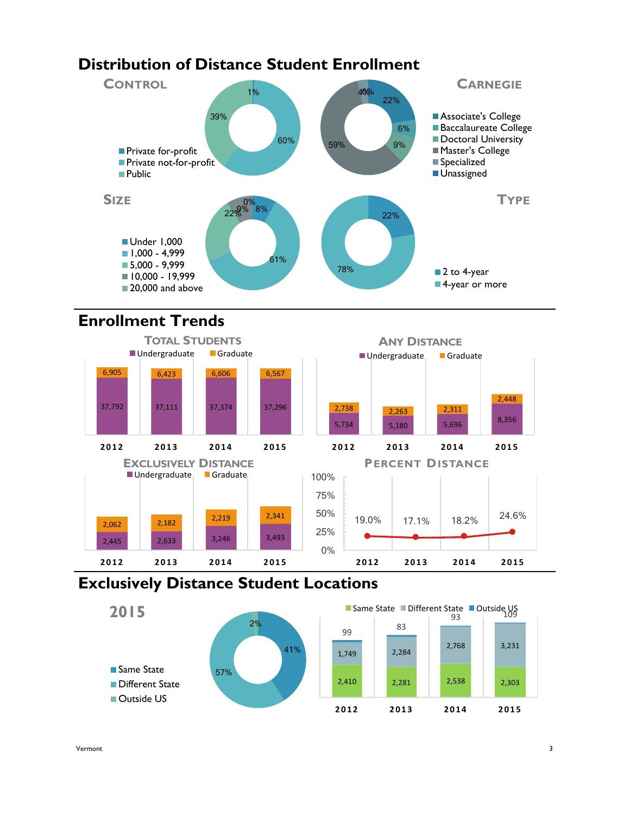# **Distribution of Distance Student Enrollment**



# **Enrollment Trends**



## **Exclusively Distance Student Locations**